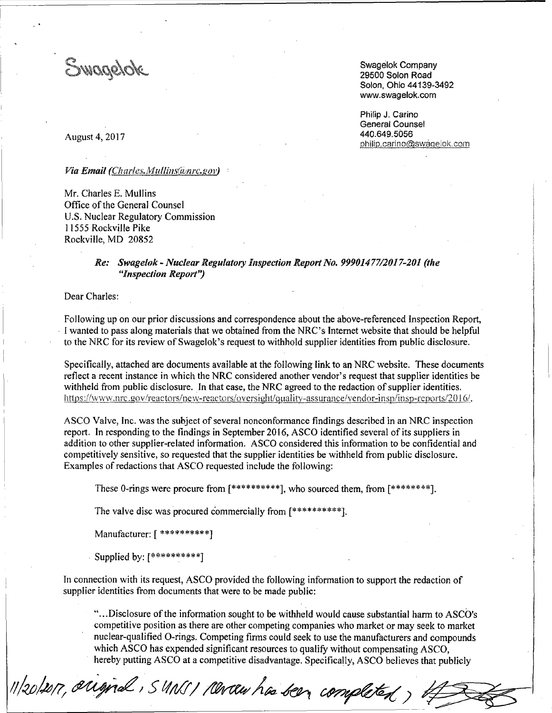Swagelok

Swagelok Company 29500 Solon Road Solon, Ohio 44139-3492 www.swagelok.com

Philip J. Carino General Counsel 440.649.5056 philip.carino@swagelok.com

August 4, 2017

#### Via Email (Charles Mullins@nrc.gov)

Mr. Charles E. Mullins Office of the General Counsel U.S. Nuclear Regulatory Commission 11555 Rockville Pike Rockville, MD 20852

# *Re: Swagelok- Nuclear Regulatory Inspection Report No. 99901477/2017-201 (the "Inspection Report'?*

Dear Charles:

Following up on our prior discussions and correspondence about the above-referenced Inspection Report, , I wanted to pass along materials that we obtained from the NRC's Internet website that should be helpful to the NRC for its review of Swagelok's request to withhold supplier identities from public disclosure.

Specifically, attached are documents available at the following link to an NRC website. These documents reflect a recent instance in which the NRC considered another vendor's request that supplier identities be withheld from public disclosure. In that case, the NRC agreed to the redaction of supplier identities. https://www.nrc.gov/reactors/new-reactors/oversight/quality-assurance/vendor-insp/insp-reports/2016/.

ASCO Valve, Inc. was the subject of several nonconformance findings described in an NRC inspection report. In responding to the findings in September 2016, ASCO identified several of its suppliers in addition to other supplier-related information. ASCO considered this information to be confidential and competitively sensitive, so requested that the supplier identities be withheld from public disclosure. Examples of redactions that ASCO requested include the following:

These 0-rings were procure from  $[*********]$ , who sourced them, from  $[********]$ .

The valve disc was procured commercially from [\*\*\*\*\*\*\*\*\*\*].

11/20/2017, original, SMNS/ Rever has been completed,

Manufacturer: [ \*\*\*\*\*\*\*\*\*\*]

. Supplied by: [\*\*\*\*\*\*\*\*\*\*]

In connection with its request, ASCO provided the following information to support the redaction of supplier identities from documents that were to be made public:

" ... Disclosure of the information sought to be withheld would cause substantial harm to ASCO's competitive position as there are other competing companies who market or may seek to market nuclear-qualified 0-rings. Competing firms could seek to use the manufacturers and compounds which ASCO has expended significant resources to qualify without compensating ASCO, hereby putting ASCO at a competitive disadvantage. Specifically, ASCO believes that publicly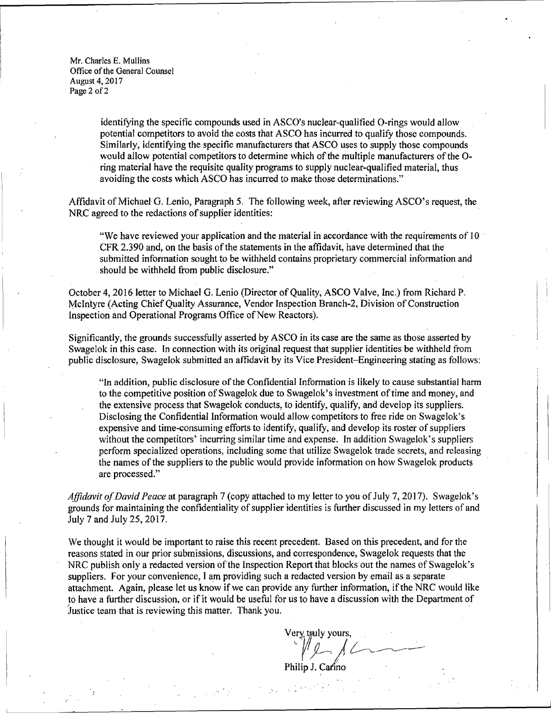Mr. Charles E. Mullins Office of the General Counsel August 4, 2017 Page 2 of 2

> identifying the specific compounds used in ASCO's nuclear-qualified 0-rings would allow potential competitors to avoid the costs that ASCO has incurred to qualify those compounds. Similarly, identifying the specific manufacturers that ASCO uses to supply those compounds would allow potential competitors to determine which of the multiple manufacturers of the 0 ring material have the requisite quality programs to supply nuclear-qualified material, thus avoiding the costs which ASCO has incurred to make those determinations."

Affidavit of Michael G. Lenio, Paragraph 5. The following week, after reviewing ASCO's request, the NRC agreed to the redactions of supplier identities:

"We have reviewed your application and the material in accordance with the requirements of 10 · CFR 2.390 and, on the basis of the statements in the affidavit, have determined that the submitted information sought to be withheld contains proprietary commercial information and should be withheld from public disclosure."

October 4, 2016 letter to Michael G. Lenio (Director of Quality, ASCO Valve, Inc.) from Richard P. McIntyre (Acting Chief Quality Assurance, Vendor Inspection Branch-2, Division of Construction Inspection and Operational Programs Office of New Reactors).

Significantly, the grounds successfully asserted by ASCO in its case are the same as those asserted by Swagelok in this case. In connection with its original request that supplier identities be withheld from public disclosure, Swagelok submitted an affidavit by its Vice President-Engineering stating as follows:

"In addition, public disclosure of the Confidential Information is likely to cause substantial harm to the competitive position of Swagelok due to Swagelok's investment of time and money, and the extensive process that Swagelok conducts, to identify, qualify, and develop its suppliers. Disclosing the Confidential Information would allow competitors to free ride on Swagelok's expensive and time-consuming efforts to identify, qualify, and develop its roster of suppliers without the competitors' incurring similar time and expense. In addition Swagelok's suppliers perform specialized operations, including some that utilize Swagelok trade secrets, and releasing the names of the suppliers to the public would provide information on how Swagelok products are processed."

*Affidavit of David Peace* at paragraph 7 (copy attached to my letter to you of July 7, 2017). Swagelok's grounds for maintaining the confidentiality of supplier identities is further discussed in my letters of and July 7 and July 25, 2017.

We thought it would be important to raise this recent precedent. Based on this precedent, and for the reasons stated in our prior submissions, discussions, and correspondence, Swagelok requests that the NRC publish only a redacted version of the Inspection Report that blocks out the names of Swagelok's suppliers. For your convenience, I am providing such a redacted version by email as a separate attachment. Again, please let us know if we can provide any further information, if the NRC would like to have a further discussion, or if it would be useful for us to have a discussion with the Department of Justice team that is reviewing this matter. Thank you. ·

Very truly yours,

Philip J. Carino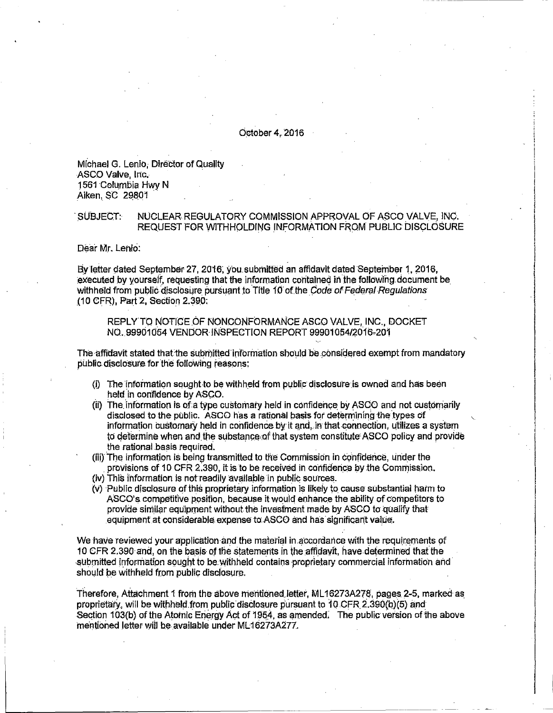#### October 4, 2016

Michael G. Lenio. Director of Quality ASCO Valve, Inc. 1561 Columbia Hwy N Aiken, SC 29801

#### NUCLEAR REGULATORY COMMISSION APPROVAL OF ASCO VALVE, INC. SUBJECT: REQUEST FOR WITHHOLDING INFORMATION FROM PUBLIC DISCLOSURE

Dear Mr. Lenio.

By letter dated September 27, 2016, you submitted an affidavit dated September 1. 2016. executed by yourself, requesting that the information contained in the following document be withheld from public disclosure pursuant to Title 10 of the Code of Federal Requiations (10 CFR), Part 2, Section 2.390:

REPLY TO NOTICE OF NONCONFORMANCE ASCO VALVE, INC., DOCKET NO. 99901054 VENDOR INSPECTION REPORT 99901054/2016-201

The affidavit stated that the submitted information should be considered exempt from mandatory public disclosure for the following reasons:

- (i) The information sought to be withheld from public disclosure is owned and has been held in confidence by ASCO.
- (ii) The information is of a type customary held in confidence by ASCO and not customarily disclosed to the public. ASCO has a rational basis for determining the types of information customary held in confidence by it and, in that connection, utilizes a system to determine when and the substance of that system constitute ASCO policy and provide the rational basis required.
- (iii) The information is being transmitted to the Commission in confidence, under the provisions of 10 CFR 2.390, it is to be received in confidence by the Commission,
- (iv) This information is not readily available in public sources.
- (v) Public disclosure of this proprietary information is likely to cause substantial harm to ASCO's competitive position, because it would enhance the ability of competitors to provide similar equipment without the investment made by ASCO to qualify that equipment at considerable expense to ASCO and has significant value.

We have reviewed your application and the material in accordance with the requirements of 10 CFR 2.390 and, on the basis of the statements in the affidavit, have determined that the submitted information sought to be withheld contains proprietary commercial information and should be withheld from public disclosure.

Therefore, Attachment 1 from the above mentioned letter, ML16273A278, pages 2-5, marked as proprietary, will be withheld from public disclosure pursuant to 10 CFR 2.390(b)(5) and Section 103(b) of the Atomic Energy Act of 1954, as amended. The public version of the above mentioned letter will be available under ML16273A277.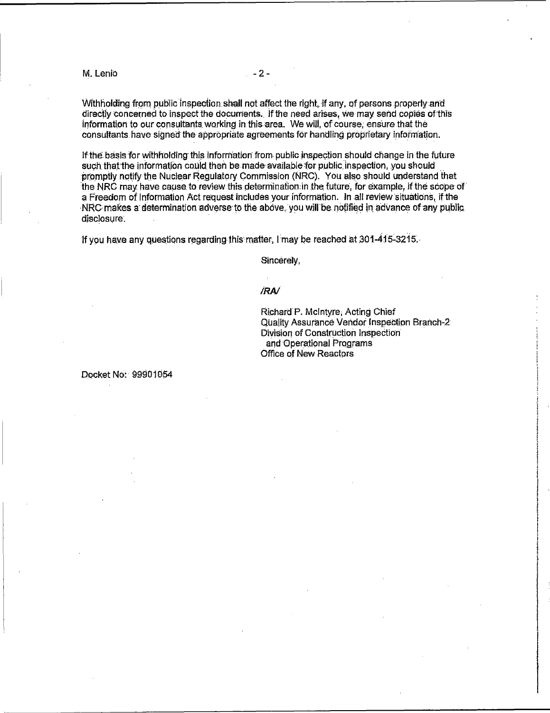M. Lenio

Withholding from public inspection shall not affect the right, if any, of persons properly and directly concerned to inspect the documents. If the need arises, we may send copies of this information to our consultants working in this area. We will, of course, ensure that the consultants have signed the appropriate agreements for handling proprietary information.

If the basis for withholding this information from public inspection should change in the future such that the information could then be made available for public inspection, you should promptly notify the Nuclear Regulatory Commission (NRC). You also should understand that the NRC may have cause to review this determination in the future, for example, if the scope of a Freedom of Information Act request includes your information. In all review situations, if the NRC makes a determination adverse to the above, you will be notified in advance of any public. disclosure.

If you have any questions regarding this matter, I may be reached at 301-415-3215.

Sincerely,

# **RAI**

Richard P. McIntyre, Acting Chief Quality Assurance Vendor Inspection Branch-2 Division of Construction Inspection and Operational Programs Office of New Reactors

Docket No: 99901054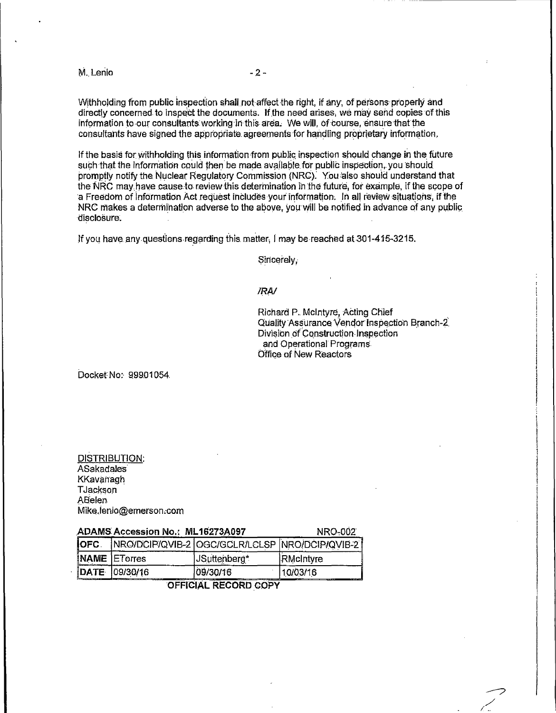M. Lenio

Withholding from public inspection shall not affect the right, if any, of persons properly and directly concerned to inspect the documents. If the need arises, we may send copies of this information to our consultants working in this area. We will, of course, ensure that the consultants have signed the appropriate agreements for handling proprietary information.

If the basis for withholding this information from public inspection should change in the future such that the information could then be made available for public inspection, you should promptly notify the Nuclear Regulatory Commission (NRC). You also should understand that the NRC may have cause to review this determination in the future, for example, if the scope of a Freedom of Information Act request includes your information. In all review situations, if the NRC makes a determination adverse to the above, you will be notified in advance of any public disclosure.

If you have any questions regarding this matter, I may be reached at 301-415-3215.

Sincerely.

# **/RA/**

Richard P. McIntyre, Acting Chief Quality Assurance Vendor Inspection Branch-2 Division of Construction Inspection and Operational Programs Office of New Reactors

Docket No: 99901054

| DISTRIBUTION:          |
|------------------------|
| ASakadales             |
| KKavanagh              |
| TJackson               |
| ABelen                 |
| Mike.lenio@emerson.com |

| <b>ADAMS Accession No.: ML16273A097</b> |                     |              | <b>NRO-002</b>                                 |
|-----------------------------------------|---------------------|--------------|------------------------------------------------|
| IOFC.                                   |                     |              | NRO/DCIP/QVIB-2 OGC/GCLR/LCLSP NRO/DCIP/QVIB-2 |
|                                         | <b>NAME</b> ETorres | JSuttenberg* | RMcIntyre                                      |
|                                         | IDATE 109/30/16     | 09/30/16     | 10/03/16<br>.                                  |

# OFFICIAL RECORD COPY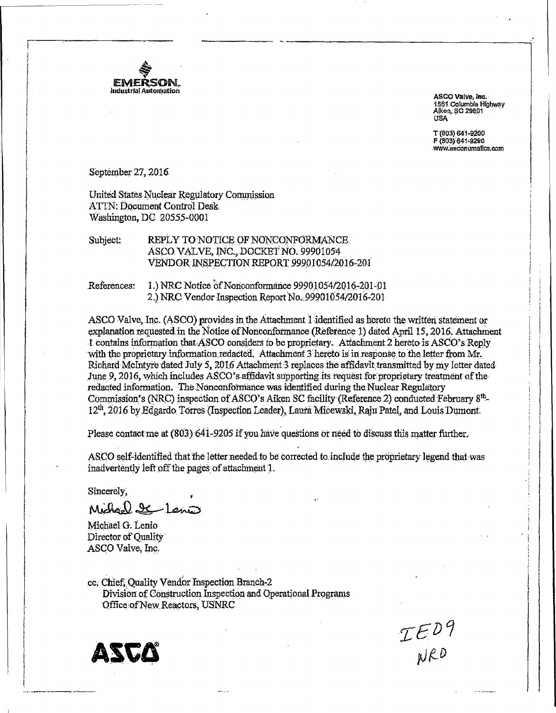

ASCO Valve, Inc. 1561 Columbia Highway Alken, SC 29801 **USA** 

T (803) 641-9200 F (803) 641-9290 www.asconumatics.com

September 27, 2016

United States Nuclear Regulatory Commission ATTN: Document Control Desk. Washington, DC 20555-0001

REPLY TO NOTICE OF NONCONFORMANCE. Subject: ASCO VALVE, INC., DOCKET NO. 99901054 VENDOR INSPECTION REPORT 99901054/2016-201

References: 1.) NRC Notice of Nonconformance 99901054/2016-201-01 2.) NRC Vendor Inspection Report No. 99901054/2016-201

ASCO Valve, Inc. (ASCO) provides in the Attachment 1 identified as hereto the written statement or explanation requested in the Notice of Nonconformance (Reference 1) dated April 15, 2016. Attachment I contains information that ASCO considers to be proprietary. Attachment 2 hereto is ASCO's Reply with the proprietary information redacted. Attachment 3 hereto is in response to the letter from Mr. Richard McIntyre dated July 5, 2016 Attachment 3 replaces the affidavit transmitted by my letter dated June 9, 2016, which includes ASCO's affidavit supporting its request for proprietary treatment of the redacted information. The Nonconformance was identified during the Nuclear Regulatory Commission's (NRC) inspection of ASCO's Aiken SC facility (Reference 2) conducted February 8<sup>th</sup>-12<sup>th</sup>, 2016 by Edgardo Torres (Inspection Leader), Laura Micewski, Raju Patel, and Louis Dumont.

Please contact me at (803) 641-9205 if you have questions or need to discuss this matter further.

ASCO self-identified that the letter needed to be corrected to include the proprietary legend that was inadvertently left off the pages of attachment 1.

Sincerely.

Michael I Lenis

Michael G. Lenio Director of Quality ASCO Valve, Inc.

cc. Chief. Ouality Vendor Inspection Branch-2 Division of Construction Inspection and Operational Programs Office of New Reactors, USNRC

IED9<br>NRD

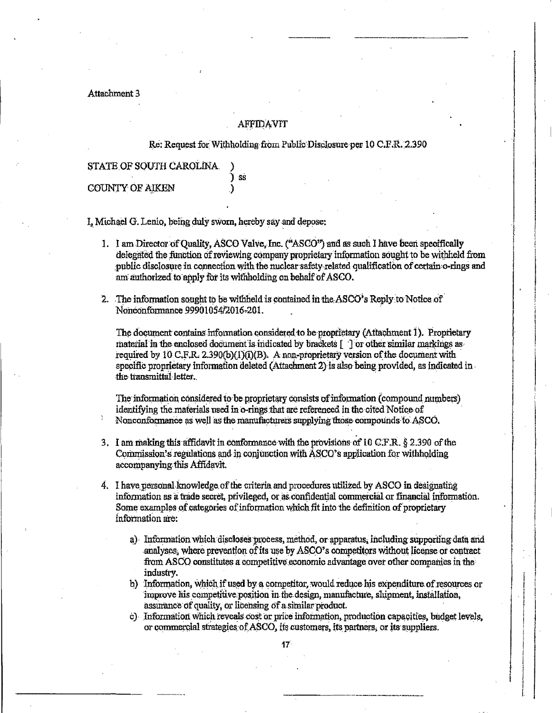Attachment 3

#### AFFIDAVIT

Re: Request for Withholding from Public Disclosure per 10 C.F.R. 2.390

STATE OF SOUTH CAROLINA. ີ SS **COUNTY OF AIKEN** 

I. Michael G. Lenio, being duly sworn, hereby say and depose:

- 1. I am Director of Quality, ASCO Valve, Inc. ("ASCO") and as such I have been specifically delegated the function of reviewing company proprietary information sought to be withheld from public disclosure in connection with the nuclear safety related qualification of certain o-rings and am authorized to apply for its withholding on behalf of ASCO.
- 2. The information sought to be withheld is contained in the ASCO's Reply to Notice of Nonconformance 99901054/2016-201.

The document contains information considered to be proprietary (Attachment 1). Proprietary material in the enclosed document is indicated by brackets [13] or other similar markings as required by 10 C,F,R. 2.390(b)(1)(i)(B). A non-proprietary version of the document with specific proprietary information deleted (Attachment 2) is also being provided, as indicated in the transmittal letter.

The information considered to be proprietary consists of information (compound numbers) identifying the materials used in o-rings that are referenced in the cited Notice of Nonconformance as well as the manufacturers supplying those compounds to ASCO.

- 3. I am making this affidavit in conformance with the provisions of 10 C.F.R. § 2.390 of the Commission's regulations and in conjunction with ASCO's application for withholding accompanying this Affidavit.
- 4. I have personal knowledge of the criteria and procedures utilized by ASCO in designating information as a trade secret, privileged, or as confidential commercial or financial information. Some examples of categories of information which fit into the definition of proprietary information are:
	- a) Information which discloses process, method, or apparatus, including supporting data and analyses, where prevention of its use by ASCO's competitors without license or contract from ASCO constitutes a competitive economic advantage over other companies in the industry.
	- b) Information, which if used by a competitor, would reduce his expenditure of resources or improve his competitive position in the design, manufacture, shipment, installation, assurance of quality, or licensing of a similar product.
	- c) Information which reveals cost or price information, production capacities, budget levels, or commercial strategies of ASCO, its customers, its partners, or its suppliers.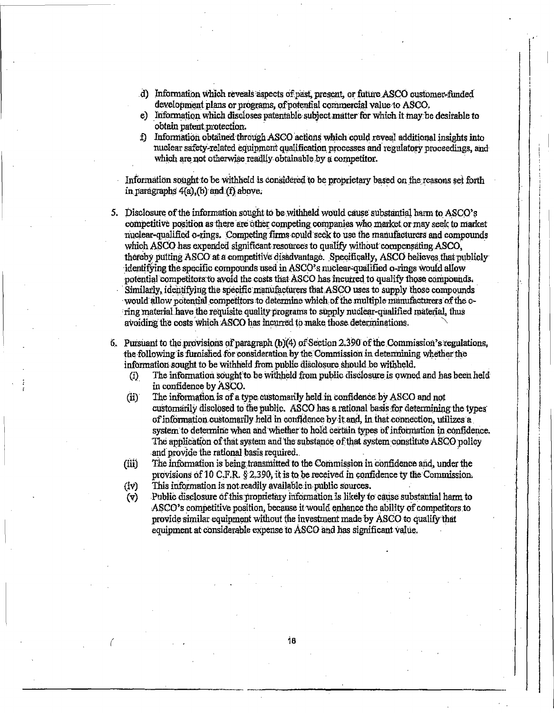- d) Information which reveals aspects of past, present, or future ASCO oustomer-funded development plans or programs, of potential commercial value to ASCO.
- e) Information which discloses patentable subject matter for which it may be desirable to obtain patent protection.
- f) Information obtained through ASCO actions which could reveal additional insights into nuclear safety-related equipment qualification processes and regulatory proceedings, and which are not otherwise readily obtainable by a competitor.

Information sought to be withheld is considered to be proprietary based on the reasons set forth in paragraphs  $4(a)$ , (b) and (f) above.

- 5. Disclosure of the information sought to be withheld would cause substantial harm to ASCO's competitive position as there are other competing companies who market or may seek to market nuclear-qualified o-xings. Competing firms could seek to use the manufacturers and compounds which ASCO has expended significant resources to qualify without compensating ASCO. thereby putting ASCO at a competitive disadvantage. Specifically, ASCO believes that publicly identifying the specific compounds used in ASCO's nuclear-qualified o-rings would allow potential competitors to avoid the costs that ASCO has incurred to qualify those compounds. Similarly, identifying the specific manufacturers that ASCO uses to supply those compounds would allow potential competitors to determine which of the multiple manufacturers of the oring material have the requisite quality programs to supply nuclear-qualified material, thus avoiding the costs which ASCO has incurred to make those determinations.
- 6. Pursuant to the provisions of paragraph (b)(4) of Section 2.390 of the Commission's regulations, the following is furnished for consideration by the Commission in determining whether the information sought to be withheld from public disclosure should be withheld.
	- The information sought to be withheld from public disclosure is owned and has been held  $(i)$ in confidence by ASCO.
	- $(ii)$ The information is of a type customarily held in confidence by ASCO and not customarily disclosed to the public. ASCO has a rational basis for determining the types of information customarily held in confidence by it and, in that connection, utilizes a system to determine when and whether to hold certain types of information in confidence. The application of that system and the substance of that system constitute ASCO policy and provide the rational basis required.
	- The information is being transmitted to the Commission in confidence and, under the  $(iii)$ provisions of 10 C.F.R. § 2.390, it is to be received in confidence ty the Commission. This information is not readily available in public sources.
	- $(iv)$ Public disclosure of this proprietary information is likely to cause substantial harm to  $(v)$
	- ASCO's competitive position, because it would enhance the ability of competitors to provide similar equipment without the investment made by ASCO to qualify that equipment at considerable expense to ASCO and has significant value.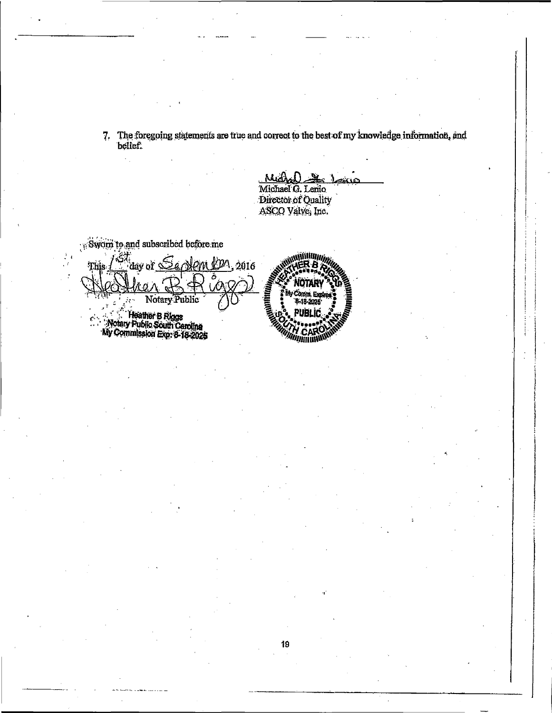7. The foregoing statements are true and correct to the best of my knowledge information, and belief.

Michael G. Lenio Director of Quality<br>ASCO Valve, Inc.

Sworn to and subscribed before me

 $\hat{\gamma}_{\alpha}$ 

day of Servem On, 2016 Notary Public **Computer B Riggs<br>Motary Public South Carolina**<br>My Commission Ero: 6-18-2025

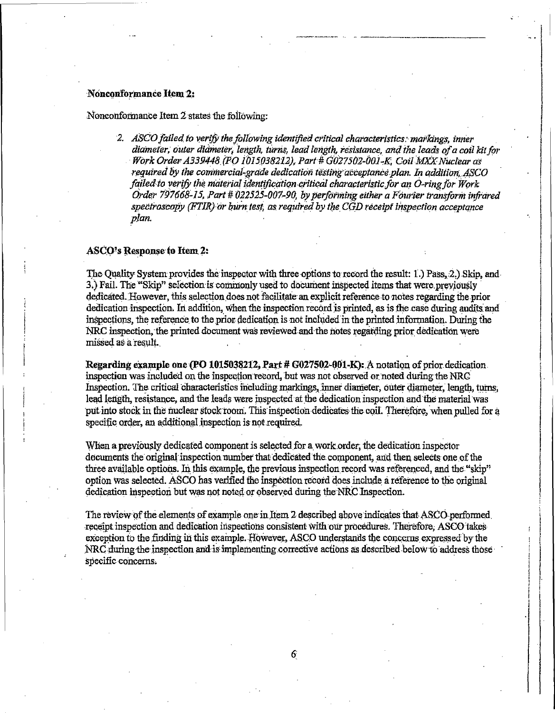### Nonconformance Item 2:

#### Nonconformance Item 2 states the following:

2. ASCO failed to verify the following identified critical characteristics: markings, inner diameter, outer diameter, length, turns, lead length, resistance, and the leads of a coil kit for Work Order A339448 (PO 1015038212), Part # G027502-001-K, Coil MXX Nuclear as required by the commercial-grade dedication testing acceptance plan. In addition, ASCO failed to verify the material identification critical characteristic for an O-ring for Work Order 797668-15, Part # 022525-007-90, by performing either a Fourier transform infrared spectroscopy (FTIR) or burn test, as required by the CGD receipt inspection acceptance plan.

#### **ASCO's Response to Item 2:**

The Quality System provides the inspector with three options to record the result: 1.) Pass, 2.) Skip, and 3.) Fail. The "Skip" selection is commonly used to document inspected items that were previously dedicated. However, this selection does not facilitate an explicit reference to notes regarding the prior dedication inspection. In addition, when the inspection record is printed, as is the case during audits and inspections, the reference to the prior dedication is not included in the printed information. During the NRC inspection, the printed document was reviewed and the notes regarding prior dedication were missed as a result.

Regarding example one (PO 1015038212, Part #  $G$ 027502-001-K): A notation of prior dedication. inspection was included on the inspection record, but was not observed or noted during the NRC Inspection. The critical characteristics including markings, inner diameter, outer diameter, length, turns, lead length, resistance, and the leads were inspected at the dedication inspection and the material was put into stock in the nuclear stock room. This inspection dedicates the coil. Therefore, when pulled for a specific order, an additional inspection is not required.

When a previously dedicated component is selected for a work order, the dedication inspector decuments the original inspection number that dedicated the component, and then selects one of the three available options. In this example, the previous inspection record was referenced, and the "skip" option was selected. ASCO has verified the inspection record does include a reference to the original dedication inspection but was not noted or observed during the NRC Inspection.

The review of the elements of example one in Item 2 described above indicates that ASCO performed receipt inspection and dedication inspections consistent with our procedures. Therefore, ASCO takes exception to the finding in this example. However, ASCO understands the concerns expressed by the NRC during the inspection and is implementing corrective actions as described below to address those specific concerns.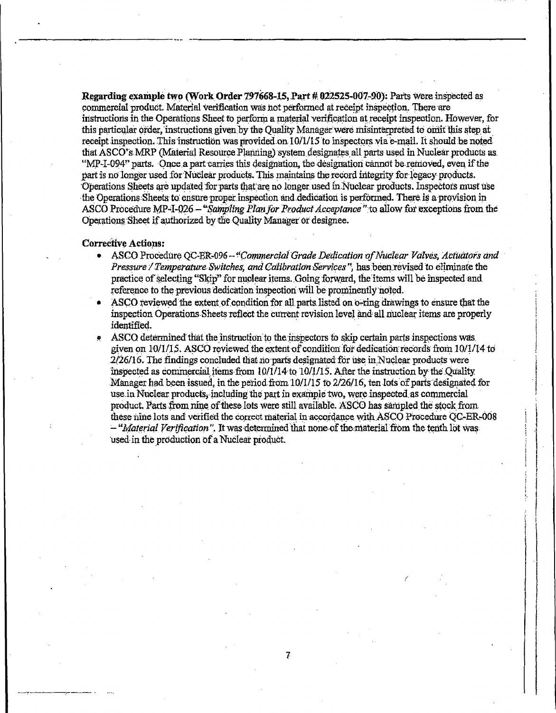Regarding example two (Work Order 797668-15, Part # 022525-007-90): Parts were inspected as commercial product. Material verification was not performed at receipt inspection. There are instructions in the Operations Sheet to perform a material verification at receipt inspection. However, for this particular order, instructions given by the Ouality Manager were misinterpreted to omit this step at receipt inspection. This instruction was provided on 10/1/15 to inspectors via e-mail. It should be noted that ASCO's MRP (Material Resource Planning) system designates all parts used in Nuclear products as "MP-I-094" parts. Once a part carries this designation, the designation cannot be removed, even if the part is no longer used for Nuclear products. This maintains the record integrity for legacy products. Operations Sheets are updated for parts that are no longer used in Nuclear products. Inspectors must use the Operations Sheets to ensure proper inspection and dedication is performed. There is a provision in ASCO Procedure MP-I-026 - "Sampling Plan for Product Acceptance" to allow for exceptions from the Operations Sheet if authorized by the Quality Manager or designee.

#### **Corrective Actions:**

- ASCO Procedure OC-ER-096 "Commercial Grade Dedication of Nuclear Valves, Actuators and Pressure / Temperature Switches, and Calibration Services", has been revised to eliminate the practice of selecting "Skip" for nuclear items. Going forward, the items will be inspected and reference to the previous dedication inspection will be prominently noted.
- ASCO reviewed the extent of condition for all parts listed on o-ring drawings to ensure that the inspection Operations Sheets reflect the current revision level and all nuclear items are properly identified.
- ASCO determined that the instruction to the inspectors to skip certain parts inspections was given on 10/1/15. ASCO reviewed the extent of condition for dedication records from 10/1/14 to 2/26/16. The findings concluded that no parts designated for use in Nuclear products were inspected as commercial items from  $10/1/14$  to  $10/1/15$ . After the instruction by the Quality Manager had been issued, in the period from 10/1/15 to 2/26/16, ten lots of parts designated for use in Nuclear products, including the part in example two, were inspected as commercial product. Parts from nine of these lots were still available. ASCO has sampled the stock from these nine lots and verified the correct material in accordance with ASCO Procedure QC-ER-008 - "Material Verification". It was determined that none of the material from the tenth lot was used in the production of a Nuclear product.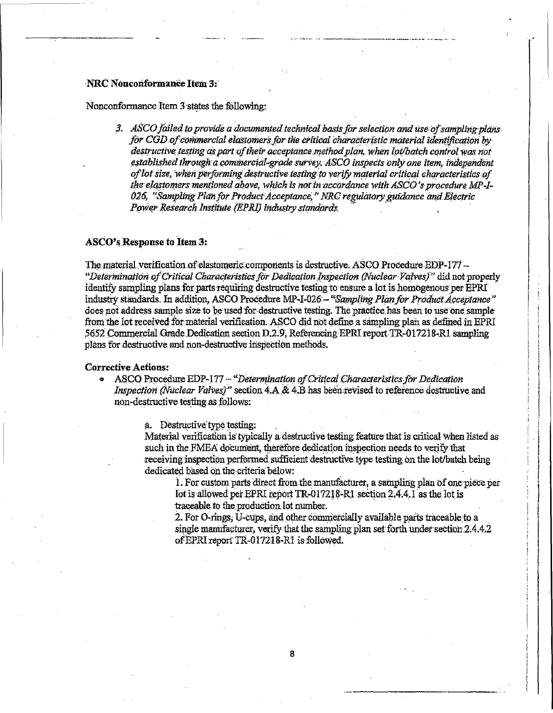# NRC Nonconformance Item 3:

Nonconformance Item 3 states the following:

3. ASCO failed to provide a documented technical basis for selection and use of sampling plans for CGD of commercial elastomers for the critical characteristic material identification by destructive testing as part of their acceptance method plan, when lot/batch control was not established through a commercial-grade survey, ASCO inspects only one item, independent of lot size, when performing destructive testing to verify material critical characteristics of the elastomers mentioned above, which is not in accordance with ASCO's procedure MP-I-026, "Sampling Plan for Product Acceptance," NRC regulatory guidance and Electric Power Research Institute (EPRI) industry standards.

# ASCO's Response to Item 3:

The material verification of elastomeric components is destructive. ASCO Procedure EDP-177 -"Determination of Critical Characteristics for Dedication Inspection (Nuclear Valves)" did not properly identify sampling plans for parts requiring destructive testing to ensure a lot is homogenous per EPRI industry standards. In addition, ASCO Procedure MP-I-026 - "Sampling Plan for Product Acceptance" does not address sample size to be used for destructive testing. The practice has been to use one sample from the lot received for material verification. ASCO did not define a sampling plan as defined in EPRI 5652 Commercial Grade Dedication section D.2.9, Referencing EPRI report TR-017218-R1 sampling plans for destructive and non-destructive inspection methods.

# **Corrective Actions:**

• ASCO Procedure EDP-177 - "Determination of Critical Characteristics for Dedication Inspection (Nuclear Valves)" section 4.A & 4.B has been revised to reference destructive and non-destructive testing as follows:

a. Destructive type testing:

Material verification is typically a destructive testing feature that is critical when listed as such in the FMEA document, therefore dedication inspection needs to verify that receiving inspection performed sufficient destructive type testing on the lot/batch being dedicated based on the criteria below:

1. For custom parts direct from the manufacturer, a sampling plan of one piece per lot is allowed per EPRI report TR-017218-R1 section 2.4.4.1 as the lot is traceable to the production lot number.

2. For O-rings, U-cups, and other commercially available parts traceable to a single manufacturer, verify that the sampling plan set forth under section 2.4.4.2 of EPRI report TR-017218-R1 is followed.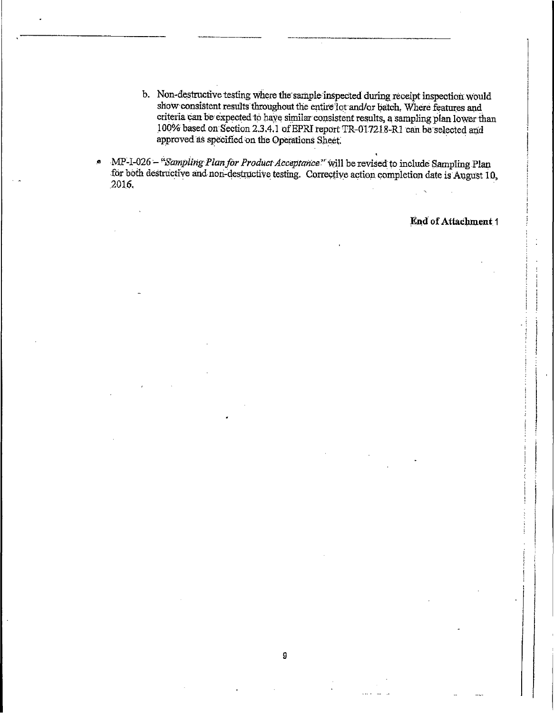- b. Non-destructive testing where the sample inspected during receipt inspection would show consistent results throughout the entire lot and/or batch. Where features and criteria can be expected to have similar consistent results, a sampling plan lower than 100% based on Section 2.3.4.1 of EPRI report TR-017218-R1 can be selected and approved as specified on the Operations Sheet.
- MP-1-026 "Sampling Plan for Product Acceptance" will be revised to include Sampling Plan  $\bullet$ for both destructive and non-destructive testing. Corrective action completion date is August 10, 2016.

End of Attachment 1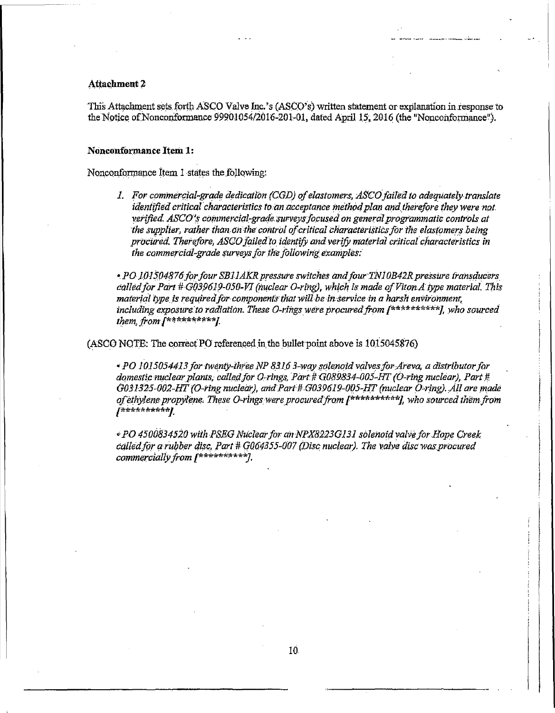### **Attachment 2**

This Attachment sets forth ASCO Valve Inc.'s (ASCO's) written statement or explanation in response to the Notice of Nonconformance 99901054/2016-201-01, dated April 15, 2016 (the "Nonconformance").

#### Nonconformance Item 1:

Nonconformance Item 1 states the following:

1. For commercial-grade dedication (CGD) of elastomers, ASCO failed to adequately translate identified critical characteristics to an acceptance method plan and therefore they were not verified. ASCO's commercial-grade surveys focused on general programmatic controls at the supplier, rather than on the control of critical characteristics for the elastomers being procured. Therefore, ASCO failed to identify and verify material critical characteristics in the commercial-grade surveys for the following examples:

• PO 101504876 for four SB11AKR pressure switches and four TN10B42R pressure transducers called for Part # G039619-050-VI (nuclear O-ring), which is made of Viton A type material. This material type is required for components that will be in service in a harsh environment, including exposure to radiation. These O-rings were procured from  $f^{*******}$ , who sourced them, from [\*\*\*\*\*\*\*\*\*\*]

(ASCO NOTE: The correct PO referenced in the bullet point above is 1015045876)

• PO 1015054413 for twenty-three NP 8316 3-way solenoid valves for Areva, a distributor for domestic nuclear plants, called for O-rings, Part # G089834-005-HT (O-ring nuclear), Part # G031325-002-HT (O-ring nuclear), and Part # G039619-005-HT (nuclear O-ring). All are made of ethylene propylene. These O-rings were procured from [\*\*\*\*\*\*\*\*\*\*], who sourced them from **J\*\*\*\*\*\*\*\*\*\*/** 

• PO 4500834520 with PSEG Nuclear for an NPX8223G131 solenoid valve for Hope Creek called for a rubber disc, Part # G064355-007 (Disc nuclear). The valve disc was procured commercially from f\*\*\*\*\*\*\*\*\*\*7.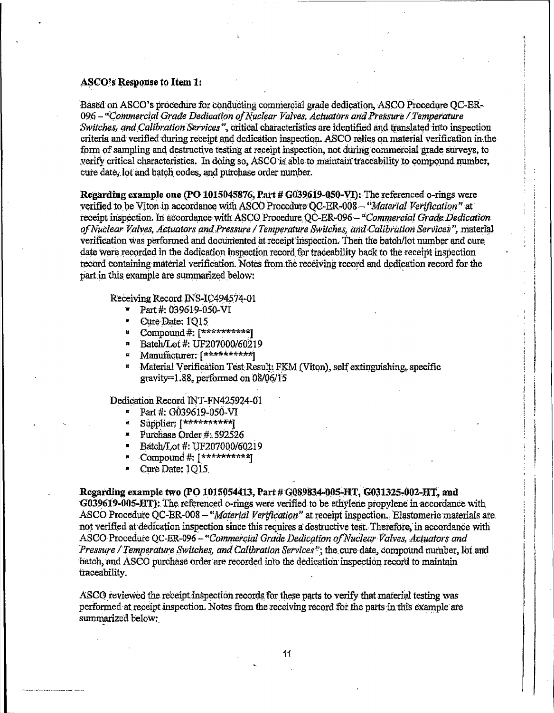#### **ASCO's Response to Item 1:**

Based on ASCO's procedure for conducting commercial grade dedication. ASCO Procedure OC-ER-096 – "Commercial Grade Dedication of Nuclear Valves, Actuators and Pressure / Temperature Switches, and Calibration Services", critical characteristics are identified and translated into inspection criteria and verified during receipt and dedication inspection. ASCO relies on material verification in the form of sampling and destructive testing at receipt inspection, not during commercial grade surveys, to verify critical characteristics. In doing so, ASCO is able to maintain traceability to compound number, cure date. lot and batch codes, and purchase order number.

Regarding example one (PO 1015045876, Part # G039619-050-VI): The referenced o-rings were verified to be Viton in accordance with ASCO Procedure OC-ER-008 - "Material Verification" at receipt inspection. In accordance with ASCO Procedure QC-ER-096 - "Commercial Grade Dedication of Nuclear Valves, Actuators and Pressure / Temperature Switches, and Calibration Services", material verification was performed and documented at receipt inspection. Then the batch/lot number and cure date were recorded in the dedication inspection record for traceability back to the receipt inspection record containing material verification. Notes from the receiving record and dedication record for the part in this example are summarized below:

Receiving Record INS-IC494574-01

- Part #: 039619-050-VI
- Cure Date: 1015  $\blacksquare$
- " Compound#: [\*\*\*\*\*\*\*\*\*\*\*]
- Batch/Lot #: UF207000/60219  $\blacksquare$
- Manufacturer: [\*\*\*\*\*\*\*\*\*\*]  $\mathbf{z}$
- Material Verification Test Result: FKM (Viton), self extinguishing, specific gravity= $1.88$ , performed on 08/06/15

Dedication Record INT-FN425924-01

- Part #: G039619-050-VI
- Supplier:  $[********]$
- $\blacksquare$ Purchase Order #: 592526
- Batch/Lot #: UF207000/60219  $\blacksquare$
- Compound #:  $[$ \*\*\*\*\*\*\*\*\*\*]
- Cure Date: 1015 ×

Regarding example two (PO 1015054413, Part # G089834-005-HT, G031325-002-HT, and

G039619-005-HT): The referenced o-rings were verified to be ethylene propylene in accordance with ASCO Procedure QC-ER-008 - "Material Verification" at receipt inspection. Elastomeric materials are not verified at dedication inspection since this requires a destructive test. Therefore, in accordance with ASCO Procedure QC-ER-096 - "Commercial Grade Dedication of Nuclear Valves, Actuators and Pressure / Temperature Switches, and Calibration Services"; the cure date, compound number, lot and batch, and ASCO purchase order are recorded into the dedication inspection record to maintain traceability.

ASCO reviewed the receipt inspection records for these parts to verify that material testing was performed at receipt inspection. Notes from the receiving record for the parts in this example are summarized below: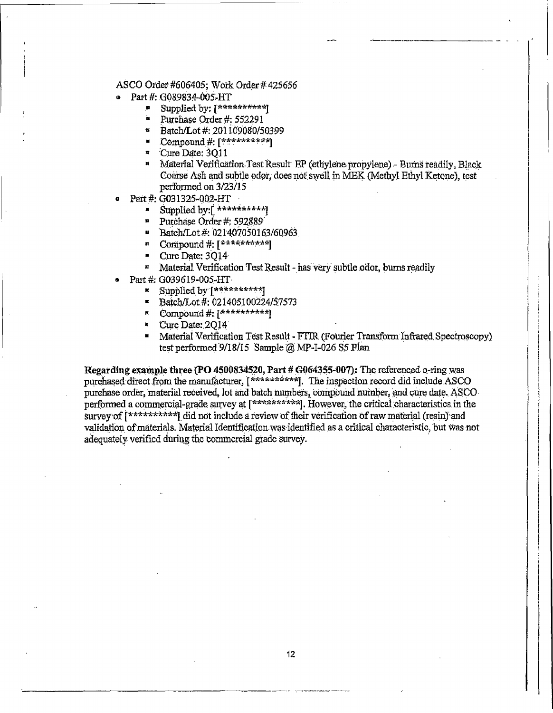# ASCO Order #606405; Work Order #425656

- Part #: G089834-005-HT
	- $\blacksquare$ Supplied by: [\*\*\*\*\*\*\*\*\*\*]
	- Purchase Order #: 552291
	- $\overline{\mathbf{z}}$ Batch/Lot #: 201109080/50399
	- $\blacksquare$  Compound # [\*\*\*\*\*\*\*\*\*\*]
	- <sup>n</sup> Cure Date: 3011
	- <sup>14</sup> Material Verification Test Result EP (ethylene propylene) Burns readily, Black Coarse Ash and subtle odor, does not swell in MEK (Methyl Ethyl Ketone), test performed on 3/23/15
- Part #: G031325-002-HT
	- Supplied by:[ \*\*\*\*\*\*\*\*\*\*] M.
	- $\overline{\mathbf{z}}$ Purchase Order #: 592889
	- Batch/Lot #: 021407050163/60963
	- <sup>B</sup> Compound #: [\*\*\*\*\*\*\*\*\*\*]
	- Cure Date: 3014
	- Material Verification Test Result has very subtle odor, burns readily  $\overline{\mathbf{z}}$
- Part #: G039619-005-HT
	- **Examplied** by [\*\*\*\*\*\*\*\*\*\*]
	- Batch/Lot #: 021405100224/57573
	- $\mathbb{F}$  Compound #:  $\mathbb{F}^{**********}$
	- " Cure Date: 2014
	- Material Verification Test Result FTIR (Fourier Transform Infrared Spectroscopy) test performed 9/18/15 Sample @ MP-I-026 S5 Plan

Regarding example three (PO 4500834520, Part # G064355-007): The referenced o-ring was purchased direct from the manufacturer, [\*\*\*\*\*\*\*\*\*\*\*]. The inspection record did include ASCO purchase order, material received, lot and batch numbers, compound number, and cure date. ASCO performed a commercial-grade survey at [\*\*\*\*\*\*\*\*\*\*\*]. However, the critical characteristics in the survey of [\*\*\*\*\*\*\*\*\*\*] did not include a review of their verification of raw material (resin) and validation of materials. Material Identification was identified as a critical characteristic, but was not adequately verified during the commercial grade survey.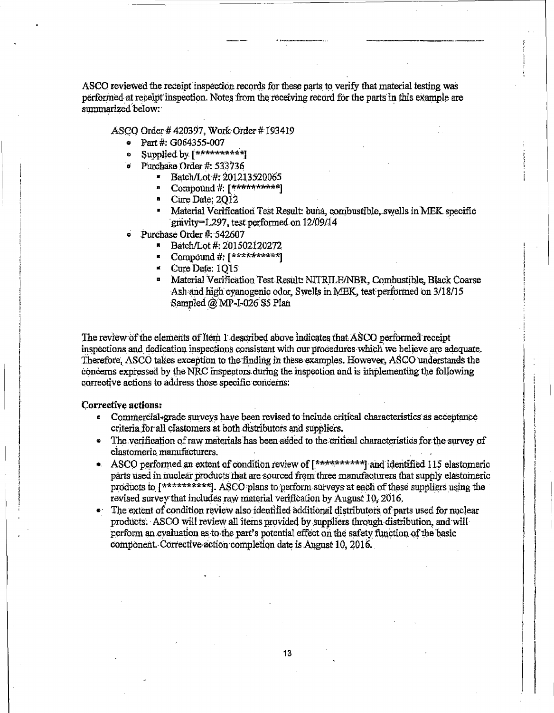ASCO reviewed the receipt inspection records for these parts to verify that material testing was performed at receipt inspection. Notes from the receiving record for the parts in this example are summarized below.

ASCO Order #420397, Work Order #193419

- Part #: G064355-007  $\bullet$
- Supplied by [\*\*\*\*\*\*\*\*\*\*]
- Purchase Order #: 533736
	- **Batch/Lot #: 201213520065** 
		- Compound #: [\*\*\*\*\*\*\*\*\*\*]  $\mathbf{z}$
		- " Cure Date: 2012
		- Material Verification Test Result: buna, combustible, swells in MEK specific gravity=1.297, test performed on 12/09/14
- Purchase Order #: 542607
	- **E** Batch/Lot #: 201502120272
	- Compound #: [\*\*\*\*\*\*\*\*\*\*\*]
	- $\leq$  Cure Date: 1015
	- Material Verification Test Result: NITRILE/NBR, Combustible, Black Coarse Ash and high evanogenic odor, Swells in MEK, test performed on 3/18/15 Sampled @ MP-I-026 S5 Plan

The review of the elements of Item 1 described above indicates that ASCO performed receipt inspections and dedication inspections consistent with our procedures which we believe are adequate. Therefore, ASCO takes exception to the finding in these examples. However, ASCO understands the concerns expressed by the NRC inspectors during the inspection and is implementing the following corrective actions to address those specific concerns:

# **Corrective actions:**

- $\bullet$ Commercial-grade surveys have been revised to include critical characteristics as acceptance criteria for all elastomers at both distributors and suppliers.
- The verification of raw materials has been added to the critical characteristics for the survey of elastomeric manufacturers.
- ASCO performed an extent of condition review of [\*\*\*\*\*\*\*\*\*\*\*] and identified 115 elastomeric parts used in nuclear products that are sourced from three manufacturers that supply elastomeric products to [\*\*\*\*\*\*\*\*\*\*\*]. ASCO plans to perform surveys at each of these suppliers using the revised survey that includes raw material verification by August 10, 2016.
- The extent of condition review also identified additional distributors of parts used for nuclear products. ASCO will review all items provided by suppliers through distribution, and will perform an evaluation as to the part's potential effect on the safety function of the basic component. Corrective action completion date is August 10, 2016.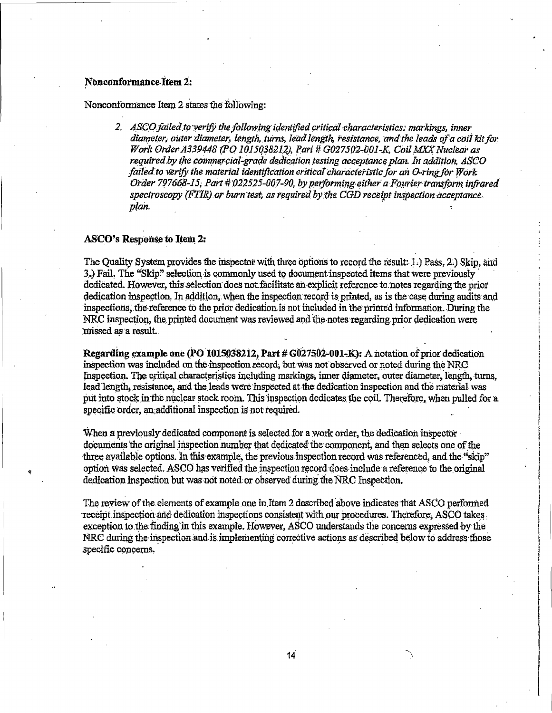#### Nonconformance Item 2:

Nonconformance Item 2 states the following:

2. ASCO failed to verify the following identified critical characteristics: markings, inner diameter, outer diameter, length, turns, lead length, resistance, and the leads of a coil kit for Work Order A339448 (PO 1015038212), Part # G027502-001-K, Coil MXX Nuclear as required by the commercial-grade dedication testing acceptance plan. In addition, ASCO failed to verify the material identification critical characteristic for an O-ring for Work Order 797668-15, Part # 022525-007-90, by performing either a Fourier transform infrared spectroscopy (FTIR) or burn test, as required by the CGD receipt inspection acceptance. plan.

#### **ASCO's Response to Item 2:**

The Quality System provides the inspector with three options to record the result: 1.) Pass, 2.) Skip, and 3.) Fail. The "Skip" selection is commonly used to document inspected items that were previously dedicated. However, this selection does not facilitate an explicit reference to notes regarding the prior dedication inspection. In addition, when the inspection record is printed, as is the case during audits and inspections, the reference to the prior dedication is not included in the printed information. During the NRC inspection, the printed document was reviewed and the notes regarding prior dedication were missed as a result.

Regarding example one (PO 1015038212, Part # G027502-001-K): A notation of prior dedication inspection was included on the inspection record, but was not observed or noted during the NRC. Inspection. The critical characteristics including markings, inner diameter, outer diameter, length, turns, lead length, resistance, and the leads were inspected at the dedication inspection and the material was put into stock in the nuclear stock room. This inspection dedicates the coil. Therefore, when pulled for a specific order, an additional inspection is not required.

When a previously dedicated component is selected for a work order, the dedication inspector documents the original inspection number that dedicated the component, and then selects one of the three available options. In this example, the previous inspection record was referenced, and the "skip" option was selected. ASCO has verified the inspection record does include a reference to the original dedication inspection but was not noted or observed during the NRC Inspection.

The review of the elements of example one in Item 2 described above indicates that ASCO performed receipt inspection and dedication inspections consistent with our procedures. Therefore, ASCO takes exception to the finding in this example. However, ASCO understands the concerns expressed by the NRC during the inspection and is implementing corrective actions as described below to address those specific concerns.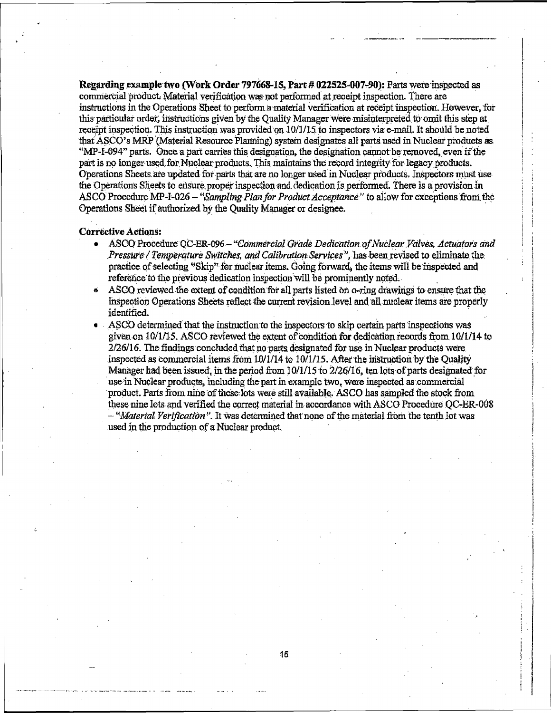Regarding example two (Work Order 797668-15, Part # 022525-007-90): Parts were inspected as commercial product. Material verification was not performed at receipt inspection. There are instructions in the Operations Sheet to perform a material verification at receipt inspection. However, for this particular order, instructions given by the Quality Manager were misinterpreted to omit this step at receipt inspection. This instruction was provided on 10/1/15 to inspectors via e-mail. It should be noted that ASCO's MRP (Material Resource Planning) system designates all parts used in Nuclear products as "MP-I-094" parts. Once a part carries this designation, the designation cannot be removed, even if the part is no longer used for Nuclear products. This maintains the record integrity for legacy products. Operations Sheets are undated for parts that are no longer used in Nuclear products. Inspectors must use the Operations Sheets to ensure proper inspection and dedication is performed. There is a provision in ASCO Procedure MP-I-026 - "Sampling Plan for Product Acceptance" to allow for exceptions from the Operations Sheet if authorized by the Quality Manager or designee.

#### **Corrective Actions:**

- ASCO Procedure OC-ER-096 "Commercial Grade Dedication of Nuclear Valves, Actuators and  $\blacksquare$ Pressure / Temperature Switches, and Calibration Services", has been revised to eliminate the practice of selecting "Skip" for nuclear items. Going forward, the items will be inspected and reference to the previous dedication inspection will be prominently noted.
- ASCO reviewed the extent of condition for all parts listed on o-ring drawings to ensure that the  $\bullet$ inspection Operations Sheets reflect the current revision level and all nuclear items are properly identified.
- ASCO determined that the instruction to the inspectors to skip certain parts inspections was given on 10/1/15. ASCO reviewed the extent of condition for dedication records from 10/1/14 to 2/26/16. The findings concluded that no parts designated for use in Nuclear products were. inspected as commercial items from 10/1/14 to 10/1/15. After the instruction by the Quality Manager had been issued, in the period from 10/1/15 to 2/26/16, ten lots of parts designated for use in Nuclear products, including the part in example two, were inspected as commercial product. Parts from nine of these lots were still available. ASCO has sampled the stock from these nine lots and verified the correct material in accordance with ASCO Procedure OC-ER-008 - "Material Verification". It was determined that none of the material from the tenth lot was used in the production of a Nuclear product.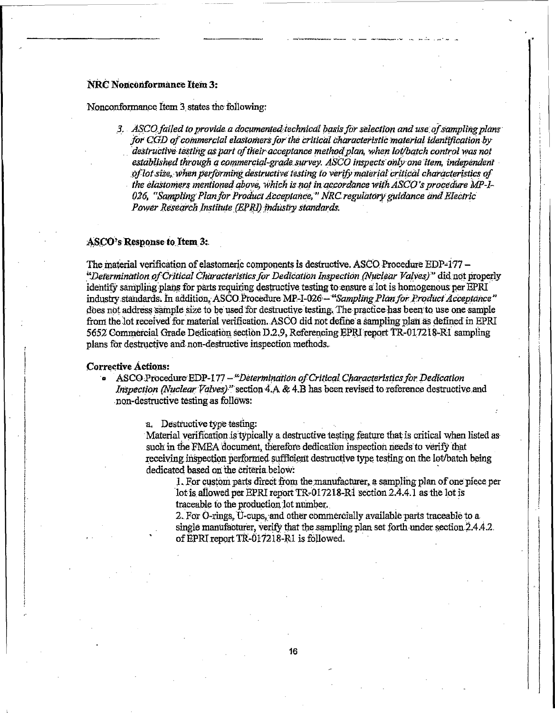# **NRC Nonconformance Item 3:**

Nonconformance Item 3 states the following:

3. ASCO failed to provide a documented technical basis for selection and use of sampling plans for CGD of commercial elastomers for the critical characteristic material identification by destructive testing as part of their acceptance method plan, when lot/batch control was not established through a commercial-grade survey. ASCO inspects only one item, independent of lot size, when performing destructive testing to verify material critical characteristics of the elastomers mentioned above, which is not in accordance with ASCO's procedure MP-I-026, "Sampling Plan for Product Acceptance," NRC regulatory guidance and Electric Power Research Institute (EPRI) industry standards.

# ASCO's Response to Item 3:

The material verification of elastomeric components is destructive. ASCO Procedure EDP-177 -"Determination of Critical Characteristics for Dedication Inspection (Nuclear Valves)" did not properly identify sampling plans for parts requiring destructive testing to ensure a lot is homogenous per EPRI industry standards. In addition, ASCO Procedure MP-I-026 - "Sampling Plan for Product Acceptance" does not address sample size to be used for destructive testing. The practice has been to use one sample from the lot received for material verification. ASCO did not define a sampling plan as defined in EPRI 5652 Commercial Grade Dedication section D.2.9, Referencing EPRI report TR-017218-R1 sampling plans for destructive and non-destructive inspection methods.

#### **Corrective Actions:**

• ASCO Procedure EDP-177 - "Determination of Critical Characteristics for Dedication Inspection (Nuclear Valves)" section 4.A & 4.B has been revised to reference destructive and non-destructive testing as follows:

a. Destructive type testing:

Material verification is typically a destructive testing feature that is critical when listed as such in the FMEA document, therefore dedication inspection needs to verify that receiving inspection performed sufficient destructive type testing on the lot/batch being dedicated based on the criteria below:

1. For custom parts direct from the manufacturer, a sampling plan of one piece per lot is allowed per EPRI report TR-017218-R1 section 2.4.4.1 as the lot is traceable to the production lot number.

2. For O-rings, U-cups, and other commercially available parts traceable to a single manufacturer, verify that the sampling plan set forth under section 2.4.4.2. of EPRI report TR-017218-R1 is followed.